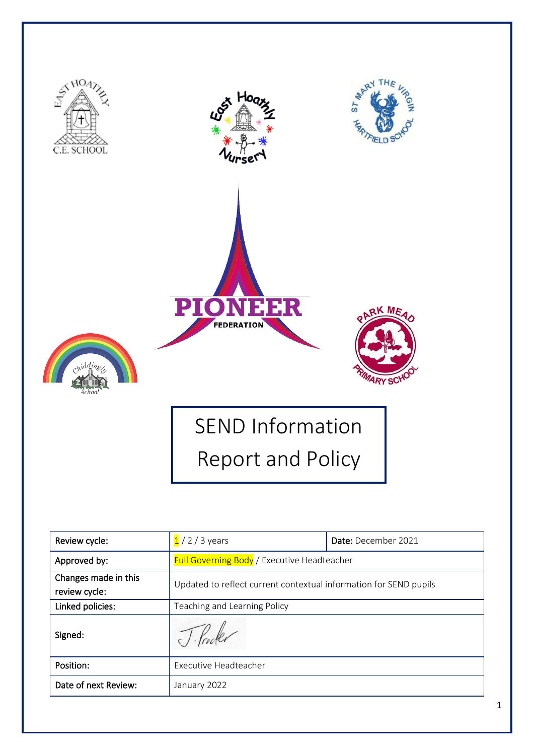

| Review cycle:                         | $1/2/3$ years                                                     | Date: December 2021 |  |
|---------------------------------------|-------------------------------------------------------------------|---------------------|--|
| Approved by:                          | Full Governing Body / Executive Headteacher                       |                     |  |
| Changes made in this<br>review cycle: | Updated to reflect current contextual information for SEND pupils |                     |  |
| Linked policies:                      | Teaching and Learning Policy                                      |                     |  |
| Signed:                               |                                                                   |                     |  |
| Position:                             | Executive Headteacher                                             |                     |  |
| Date of next Review:                  | January 2022                                                      |                     |  |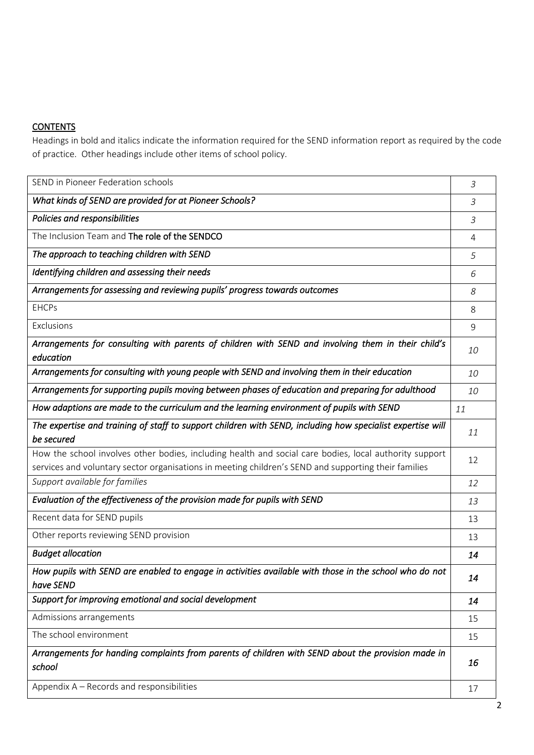# **CONTENTS**

Headings in bold and italics indicate the information required for the SEND information report as required by the code of practice. Other headings include other items of school policy.

| SEND in Pioneer Federation schools                                                                                       | 3         |  |
|--------------------------------------------------------------------------------------------------------------------------|-----------|--|
| What kinds of SEND are provided for at Pioneer Schools?                                                                  |           |  |
| Policies and responsibilities                                                                                            |           |  |
| The Inclusion Team and The role of the SENDCO                                                                            |           |  |
| The approach to teaching children with SEND                                                                              |           |  |
| Identifying children and assessing their needs                                                                           | 6         |  |
| Arrangements for assessing and reviewing pupils' progress towards outcomes                                               | 8         |  |
| <b>EHCPs</b>                                                                                                             | 8         |  |
| Exclusions                                                                                                               | 9         |  |
| Arrangements for consulting with parents of children with SEND and involving them in their child's<br>education          | <i>10</i> |  |
| Arrangements for consulting with young people with SEND and involving them in their education                            | 10        |  |
| Arrangements for supporting pupils moving between phases of education and preparing for adulthood                        | 10        |  |
| How adaptions are made to the curriculum and the learning environment of pupils with SEND                                | 11        |  |
| The expertise and training of staff to support children with SEND, including how specialist expertise will<br>be secured | 11        |  |
| How the school involves other bodies, including health and social care bodies, local authority support                   | 12        |  |
| services and voluntary sector organisations in meeting children's SEND and supporting their families                     |           |  |
| Support available for families                                                                                           | 12        |  |
| Evaluation of the effectiveness of the provision made for pupils with SEND                                               | 13        |  |
| Recent data for SEND pupils                                                                                              | 13        |  |
| Other reports reviewing SEND provision                                                                                   | 13        |  |
| <b>Budget allocation</b>                                                                                                 | 14        |  |
| How pupils with SEND are enabled to engage in activities available with those in the school who do not<br>have SEND      | 14        |  |
| Support for improving emotional and social development                                                                   | 14        |  |
| Admissions arrangements                                                                                                  | 15        |  |
| The school environment                                                                                                   | 15        |  |
| Arrangements for handing complaints from parents of children with SEND about the provision made in<br>school             |           |  |
| Appendix A - Records and responsibilities                                                                                | 17        |  |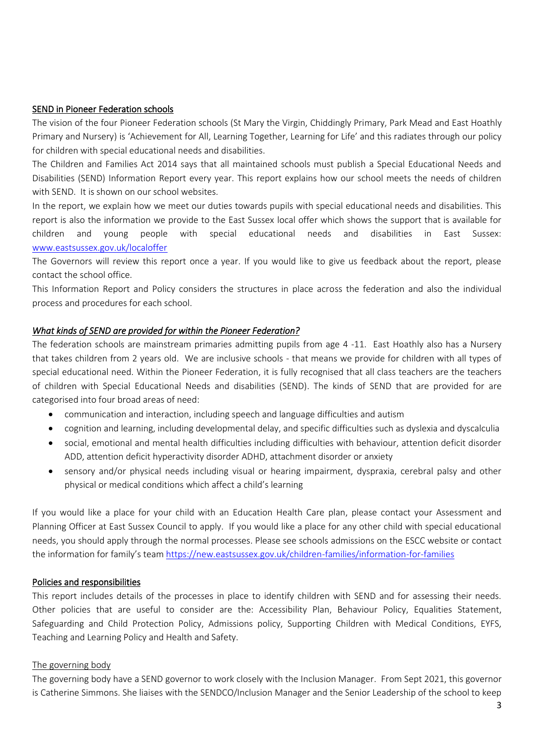### SEND in Pioneer Federation schools

The vision of the four Pioneer Federation schools (St Mary the Virgin, Chiddingly Primary, Park Mead and East Hoathly Primary and Nursery) is 'Achievement for All, Learning Together, Learning for Life' and this radiates through our policy for children with special educational needs and disabilities.

The Children and Families Act 2014 says that all maintained schools must publish a Special Educational Needs and Disabilities (SEND) Information Report every year. This report explains how our school meets the needs of children with SEND. It is shown on our school websites.

In the report, we explain how we meet our duties towards pupils with special educational needs and disabilities. This report is also the information we provide to the East Sussex local offer which shows the support that is available for children and young people with special educational needs and disabilities in East Sussex: [www.eastsussex.gov.uk/localoffer](http://www.eastsussex.gov.uk/localoffer)

The Governors will review this report once a year. If you would like to give us feedback about the report, please contact the school office.

This Information Report and Policy considers the structures in place across the federation and also the individual process and procedures for each school.

### *What kinds of SEND are provided for within the Pioneer Federation?*

The federation schools are mainstream primaries admitting pupils from age 4 -11. East Hoathly also has a Nursery that takes children from 2 years old. We are inclusive schools - that means we provide for children with all types of special educational need. Within the Pioneer Federation, it is fully recognised that all class teachers are the teachers of children with Special Educational Needs and disabilities (SEND). The kinds of SEND that are provided for are categorised into four broad areas of need:

- communication and interaction, including speech and language difficulties and autism
- cognition and learning, including developmental delay, and specific difficulties such as dyslexia and dyscalculia
- social, emotional and mental health difficulties including difficulties with behaviour, attention deficit disorder ADD, attention deficit hyperactivity disorder ADHD, attachment disorder or anxiety
- sensory and/or physical needs including visual or hearing impairment, dyspraxia, cerebral palsy and other physical or medical conditions which affect a child's learning

If you would like a place for your child with an Education Health Care plan, please contact your Assessment and Planning Officer at East Sussex Council to apply. If you would like a place for any other child with special educational needs, you should apply through the normal processes. Please see schools admissions on the ESCC website or contact the information for family's team<https://new.eastsussex.gov.uk/children-families/information-for-families>

#### Policies and responsibilities

This report includes details of the processes in place to identify children with SEND and for assessing their needs. Other policies that are useful to consider are the: Accessibility Plan, Behaviour Policy, Equalities Statement, Safeguarding and Child Protection Policy, Admissions policy, Supporting Children with Medical Conditions, EYFS, Teaching and Learning Policy and Health and Safety.

#### The governing body

The governing body have a SEND governor to work closely with the Inclusion Manager. From Sept 2021, this governor is Catherine Simmons. She liaises with the SENDCO/Inclusion Manager and the Senior Leadership of the school to keep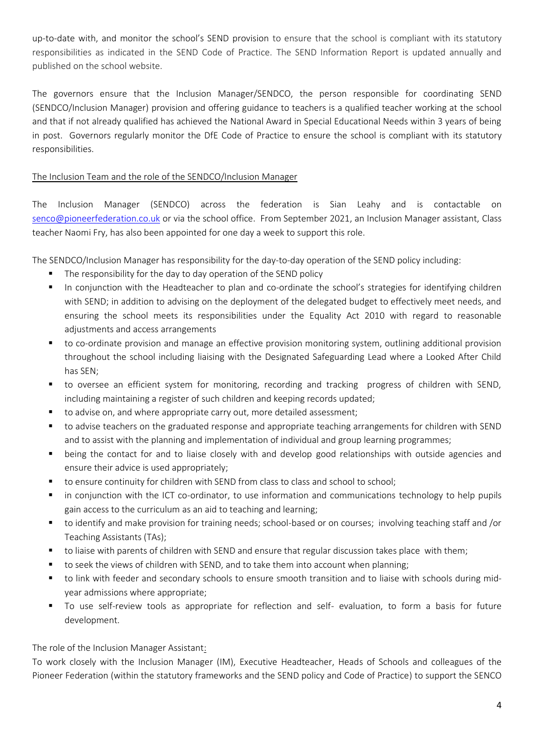up-to-date with, and monitor the school's SEND provision to ensure that the school is compliant with its statutory responsibilities as indicated in the SEND Code of Practice. The SEND Information Report is updated annually and published on the school website.

The governors ensure that the Inclusion Manager/SENDCO, the person responsible for coordinating SEND (SENDCO/Inclusion Manager) provision and offering guidance to teachers is a qualified teacher working at the school and that if not already qualified has achieved the National Award in Special Educational Needs within 3 years of being in post. Governors regularly monitor the DfE Code of Practice to ensure the school is compliant with its statutory responsibilities.

## The Inclusion Team and the role of the SENDCO/Inclusion Manager

The Inclusion Manager (SENDCO) across the federation is Sian Leahy and is contactable on [senco@pioneerfederation.co.uk](mailto:senco@pioneerfederation.co.uk) or via the school office. From September 2021, an Inclusion Manager assistant, Class teacher Naomi Fry, has also been appointed for one day a week to support this role.

The SENDCO/Inclusion Manager has responsibility for the day-to-day operation of the SEND policy including:

- The responsibility for the day to day operation of the SEND policy
- In conjunction with the Headteacher to plan and co-ordinate the school's strategies for identifying children with SEND; in addition to advising on the deployment of the delegated budget to effectively meet needs, and ensuring the school meets its responsibilities under the Equality Act 2010 with regard to reasonable adjustments and access arrangements
- to co-ordinate provision and manage an effective provision monitoring system, outlining additional provision throughout the school including liaising with the Designated Safeguarding Lead where a Looked After Child has SEN;
- to oversee an efficient system for monitoring, recording and tracking progress of children with SEND, including maintaining a register of such children and keeping records updated;
- to advise on, and where appropriate carry out, more detailed assessment;
- to advise teachers on the graduated response and appropriate teaching arrangements for children with SEND and to assist with the planning and implementation of individual and group learning programmes;
- being the contact for and to liaise closely with and develop good relationships with outside agencies and ensure their advice is used appropriately;
- to ensure continuity for children with SEND from class to class and school to school;
- in conjunction with the ICT co-ordinator, to use information and communications technology to help pupils gain access to the curriculum as an aid to teaching and learning;
- to identify and make provision for training needs; school-based or on courses; involving teaching staff and /or Teaching Assistants (TAs);
- to liaise with parents of children with SEND and ensure that regular discussion takes place with them;
- to seek the views of children with SEND, and to take them into account when planning;
- to link with feeder and secondary schools to ensure smooth transition and to liaise with schools during midyear admissions where appropriate;
- To use self-review tools as appropriate for reflection and self- evaluation, to form a basis for future development.

The role of the Inclusion Manager Assistant:

To work closely with the Inclusion Manager (IM), Executive Headteacher, Heads of Schools and colleagues of the Pioneer Federation (within the statutory frameworks and the SEND policy and Code of Practice) to support the SENCO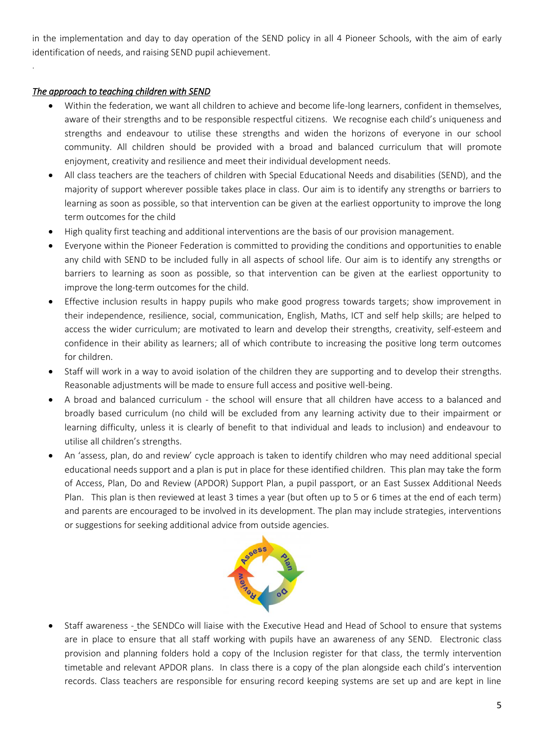in the implementation and day to day operation of the SEND policy in all 4 Pioneer Schools, with the aim of early identification of needs, and raising SEND pupil achievement.

## *The approach to teaching children with SEND*

.

- Within the federation, we want all children to achieve and become life-long learners, confident in themselves, aware of their strengths and to be responsible respectful citizens. We recognise each child's uniqueness and strengths and endeavour to utilise these strengths and widen the horizons of everyone in our school community. All children should be provided with a broad and balanced curriculum that will promote enjoyment, creativity and resilience and meet their individual development needs.
- All class teachers are the teachers of children with Special Educational Needs and disabilities (SEND), and the majority of support wherever possible takes place in class. Our aim is to identify any strengths or barriers to learning as soon as possible, so that intervention can be given at the earliest opportunity to improve the long term outcomes for the child
- High quality first teaching and additional interventions are the basis of our provision management.
- Everyone within the Pioneer Federation is committed to providing the conditions and opportunities to enable any child with SEND to be included fully in all aspects of school life. Our aim is to identify any strengths or barriers to learning as soon as possible, so that intervention can be given at the earliest opportunity to improve the long-term outcomes for the child.
- Effective inclusion results in happy pupils who make good progress towards targets; show improvement in their independence, resilience, social, communication, English, Maths, ICT and self help skills; are helped to access the wider curriculum; are motivated to learn and develop their strengths, creativity, self-esteem and confidence in their ability as learners; all of which contribute to increasing the positive long term outcomes for children.
- Staff will work in a way to avoid isolation of the children they are supporting and to develop their strengths. Reasonable adjustments will be made to ensure full access and positive well-being.
- A broad and balanced curriculum the school will ensure that all children have access to a balanced and broadly based curriculum (no child will be excluded from any learning activity due to their impairment or learning difficulty, unless it is clearly of benefit to that individual and leads to inclusion) and endeavour to utilise all children's strengths.
- An 'assess, plan, do and review' cycle approach is taken to identify children who may need additional special educational needs support and a plan is put in place for these identified children. This plan may take the form of Access, Plan, Do and Review (APDOR) Support Plan, a pupil passport, or an East Sussex Additional Needs Plan. This plan is then reviewed at least 3 times a year (but often up to 5 or 6 times at the end of each term) and parents are encouraged to be involved in its development. The plan may include strategies, interventions or suggestions for seeking additional advice from outside agencies.



• Staff awareness - the SENDCo will liaise with the Executive Head and Head of School to ensure that systems are in place to ensure that all staff working with pupils have an awareness of any SEND. Electronic class provision and planning folders hold a copy of the Inclusion register for that class, the termly intervention timetable and relevant APDOR plans. In class there is a copy of the plan alongside each child's intervention records. Class teachers are responsible for ensuring record keeping systems are set up and are kept in line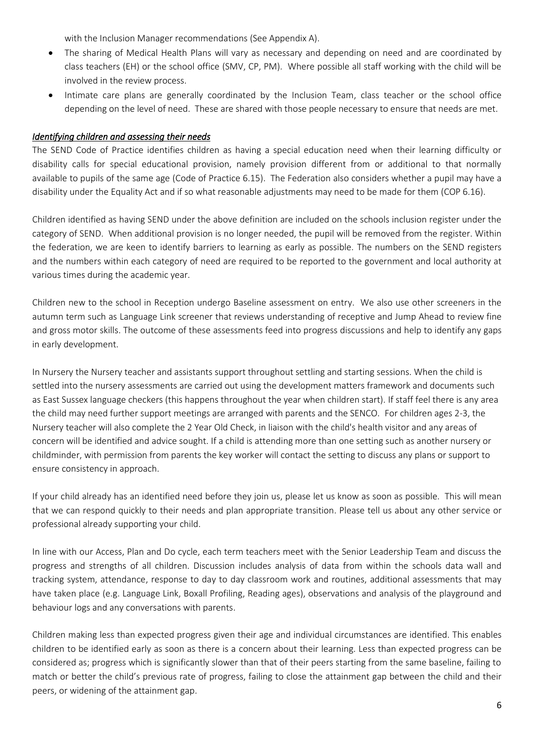with the Inclusion Manager recommendations (See Appendix A).

- The sharing of Medical Health Plans will vary as necessary and depending on need and are coordinated by class teachers (EH) or the school office (SMV, CP, PM). Where possible all staff working with the child will be involved in the review process.
- Intimate care plans are generally coordinated by the Inclusion Team, class teacher or the school office depending on the level of need. These are shared with those people necessary to ensure that needs are met.

## *Identifying children and assessing their needs*

The SEND Code of Practice identifies children as having a special education need when their learning difficulty or disability calls for special educational provision, namely provision different from or additional to that normally available to pupils of the same age (Code of Practice 6.15). The Federation also considers whether a pupil may have a disability under the Equality Act and if so what reasonable adjustments may need to be made for them (COP 6.16).

Children identified as having SEND under the above definition are included on the schools inclusion register under the category of SEND. When additional provision is no longer needed, the pupil will be removed from the register. Within the federation, we are keen to identify barriers to learning as early as possible. The numbers on the SEND registers and the numbers within each category of need are required to be reported to the government and local authority at various times during the academic year.

Children new to the school in Reception undergo Baseline assessment on entry. We also use other screeners in the autumn term such as Language Link screener that reviews understanding of receptive and Jump Ahead to review fine and gross motor skills. The outcome of these assessments feed into progress discussions and help to identify any gaps in early development.

In Nursery the Nursery teacher and assistants support throughout settling and starting sessions. When the child is settled into the nursery assessments are carried out using the development matters framework and documents such as East Sussex language checkers (this happens throughout the year when children start). If staff feel there is any area the child may need further support meetings are arranged with parents and the SENCO. For children ages 2-3, the Nursery teacher will also complete the 2 Year Old Check, in liaison with the child's health visitor and any areas of concern will be identified and advice sought. If a child is attending more than one setting such as another nursery or childminder, with permission from parents the key worker will contact the setting to discuss any plans or support to ensure consistency in approach.

If your child already has an identified need before they join us, please let us know as soon as possible. This will mean that we can respond quickly to their needs and plan appropriate transition. Please tell us about any other service or professional already supporting your child.

In line with our Access, Plan and Do cycle, each term teachers meet with the Senior Leadership Team and discuss the progress and strengths of all children. Discussion includes analysis of data from within the schools data wall and tracking system, attendance, response to day to day classroom work and routines, additional assessments that may have taken place (e.g. Language Link, Boxall Profiling, Reading ages), observations and analysis of the playground and behaviour logs and any conversations with parents.

Children making less than expected progress given their age and individual circumstances are identified. This enables children to be identified early as soon as there is a concern about their learning. Less than expected progress can be considered as; progress which is significantly slower than that of their peers starting from the same baseline, failing to match or better the child's previous rate of progress, failing to close the attainment gap between the child and their peers, or widening of the attainment gap.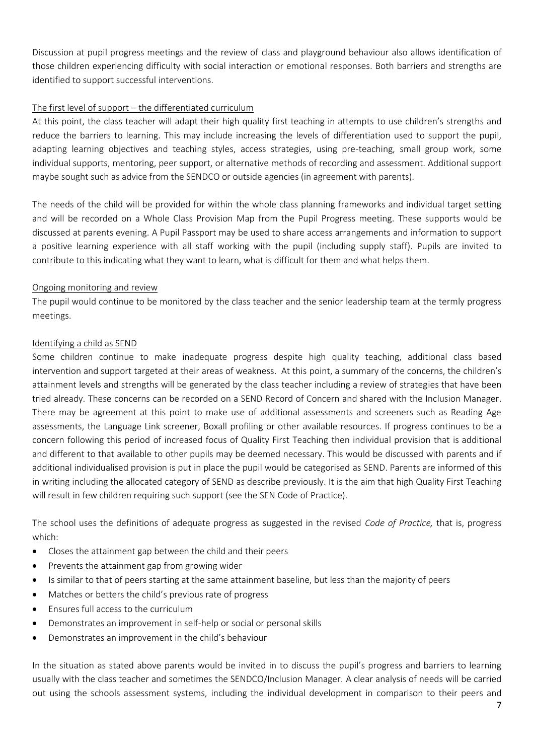Discussion at pupil progress meetings and the review of class and playground behaviour also allows identification of those children experiencing difficulty with social interaction or emotional responses. Both barriers and strengths are identified to support successful interventions.

## The first level of support – the differentiated curriculum

At this point, the class teacher will adapt their high quality first teaching in attempts to use children's strengths and reduce the barriers to learning. This may include increasing the levels of differentiation used to support the pupil, adapting learning objectives and teaching styles, access strategies, using pre-teaching, small group work, some individual supports, mentoring, peer support, or alternative methods of recording and assessment. Additional support maybe sought such as advice from the SENDCO or outside agencies (in agreement with parents).

The needs of the child will be provided for within the whole class planning frameworks and individual target setting and will be recorded on a Whole Class Provision Map from the Pupil Progress meeting. These supports would be discussed at parents evening. A Pupil Passport may be used to share access arrangements and information to support a positive learning experience with all staff working with the pupil (including supply staff). Pupils are invited to contribute to this indicating what they want to learn, what is difficult for them and what helps them.

## Ongoing monitoring and review

The pupil would continue to be monitored by the class teacher and the senior leadership team at the termly progress meetings.

### Identifying a child as SEND

Some children continue to make inadequate progress despite high quality teaching, additional class based intervention and support targeted at their areas of weakness. At this point, a summary of the concerns, the children's attainment levels and strengths will be generated by the class teacher including a review of strategies that have been tried already. These concerns can be recorded on a SEND Record of Concern and shared with the Inclusion Manager. There may be agreement at this point to make use of additional assessments and screeners such as Reading Age assessments, the Language Link screener, Boxall profiling or other available resources. If progress continues to be a concern following this period of increased focus of Quality First Teaching then individual provision that is additional and different to that available to other pupils may be deemed necessary. This would be discussed with parents and if additional individualised provision is put in place the pupil would be categorised as SEND. Parents are informed of this in writing including the allocated category of SEND as describe previously. It is the aim that high Quality First Teaching will result in few children requiring such support (see the SEN Code of Practice).

The school uses the definitions of adequate progress as suggested in the revised *Code of Practice,* that is, progress which:

- Closes the attainment gap between the child and their peers
- Prevents the attainment gap from growing wider
- Is similar to that of peers starting at the same attainment baseline, but less than the majority of peers
- Matches or betters the child's previous rate of progress
- Ensures full access to the curriculum
- Demonstrates an improvement in self-help or social or personal skills
- Demonstrates an improvement in the child's behaviour

In the situation as stated above parents would be invited in to discuss the pupil's progress and barriers to learning usually with the class teacher and sometimes the SENDCO/Inclusion Manager. A clear analysis of needs will be carried out using the schools assessment systems, including the individual development in comparison to their peers and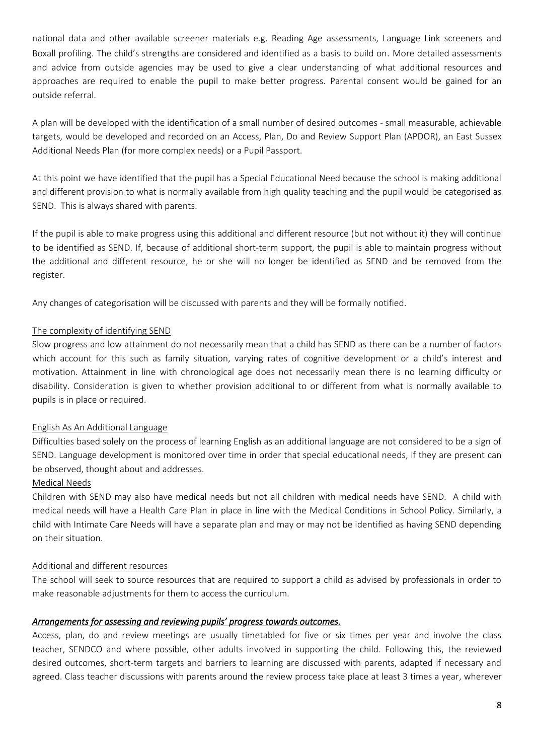national data and other available screener materials e.g. Reading Age assessments, Language Link screeners and Boxall profiling. The child's strengths are considered and identified as a basis to build on. More detailed assessments and advice from outside agencies may be used to give a clear understanding of what additional resources and approaches are required to enable the pupil to make better progress. Parental consent would be gained for an outside referral.

A plan will be developed with the identification of a small number of desired outcomes - small measurable, achievable targets, would be developed and recorded on an Access, Plan, Do and Review Support Plan (APDOR), an East Sussex Additional Needs Plan (for more complex needs) or a Pupil Passport.

At this point we have identified that the pupil has a Special Educational Need because the school is making additional and different provision to what is normally available from high quality teaching and the pupil would be categorised as SEND. This is always shared with parents.

If the pupil is able to make progress using this additional and different resource (but not without it) they will continue to be identified as SEND. If, because of additional short-term support, the pupil is able to maintain progress without the additional and different resource, he or she will no longer be identified as SEND and be removed from the register.

Any changes of categorisation will be discussed with parents and they will be formally notified.

## The complexity of identifying SEND

Slow progress and low attainment do not necessarily mean that a child has SEND as there can be a number of factors which account for this such as family situation, varying rates of cognitive development or a child's interest and motivation. Attainment in line with chronological age does not necessarily mean there is no learning difficulty or disability. Consideration is given to whether provision additional to or different from what is normally available to pupils is in place or required.

## English As An Additional Language

Difficulties based solely on the process of learning English as an additional language are not considered to be a sign of SEND. Language development is monitored over time in order that special educational needs, if they are present can be observed, thought about and addresses.

## Medical Needs

Children with SEND may also have medical needs but not all children with medical needs have SEND. A child with medical needs will have a Health Care Plan in place in line with the Medical Conditions in School Policy. Similarly, a child with Intimate Care Needs will have a separate plan and may or may not be identified as having SEND depending on their situation.

## Additional and different resources

The school will seek to source resources that are required to support a child as advised by professionals in order to make reasonable adjustments for them to access the curriculum.

## *Arrangements for assessing and reviewing pupils' progress towards outcomes.*

Access, plan, do and review meetings are usually timetabled for five or six times per year and involve the class teacher, SENDCO and where possible, other adults involved in supporting the child. Following this, the reviewed desired outcomes, short-term targets and barriers to learning are discussed with parents, adapted if necessary and agreed. Class teacher discussions with parents around the review process take place at least 3 times a year, wherever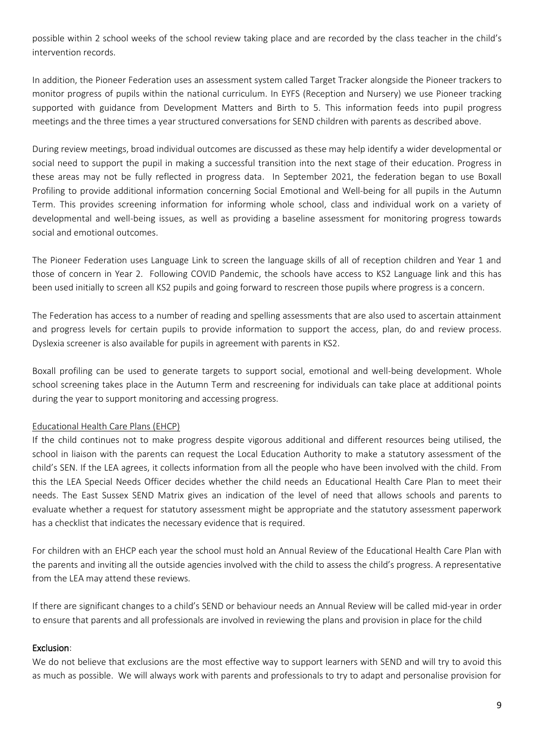possible within 2 school weeks of the school review taking place and are recorded by the class teacher in the child's intervention records.

In addition, the Pioneer Federation uses an assessment system called Target Tracker alongside the Pioneer trackers to monitor progress of pupils within the national curriculum. In EYFS (Reception and Nursery) we use Pioneer tracking supported with guidance from Development Matters and Birth to 5. This information feeds into pupil progress meetings and the three times a year structured conversations for SEND children with parents as described above.

During review meetings, broad individual outcomes are discussed as these may help identify a wider developmental or social need to support the pupil in making a successful transition into the next stage of their education. Progress in these areas may not be fully reflected in progress data. In September 2021, the federation began to use Boxall Profiling to provide additional information concerning Social Emotional and Well-being for all pupils in the Autumn Term. This provides screening information for informing whole school, class and individual work on a variety of developmental and well-being issues, as well as providing a baseline assessment for monitoring progress towards social and emotional outcomes.

The Pioneer Federation uses Language Link to screen the language skills of all of reception children and Year 1 and those of concern in Year 2. Following COVID Pandemic, the schools have access to KS2 Language link and this has been used initially to screen all KS2 pupils and going forward to rescreen those pupils where progress is a concern.

The Federation has access to a number of reading and spelling assessments that are also used to ascertain attainment and progress levels for certain pupils to provide information to support the access, plan, do and review process. Dyslexia screener is also available for pupils in agreement with parents in KS2.

Boxall profiling can be used to generate targets to support social, emotional and well-being development. Whole school screening takes place in the Autumn Term and rescreening for individuals can take place at additional points during the year to support monitoring and accessing progress.

## Educational Health Care Plans (EHCP)

If the child continues not to make progress despite vigorous additional and different resources being utilised, the school in liaison with the parents can request the Local Education Authority to make a statutory assessment of the child's SEN. If the LEA agrees, it collects information from all the people who have been involved with the child. From this the LEA Special Needs Officer decides whether the child needs an Educational Health Care Plan to meet their needs. The East Sussex SEND Matrix gives an indication of the level of need that allows schools and parents to evaluate whether a request for statutory assessment might be appropriate and the statutory assessment paperwork has a checklist that indicates the necessary evidence that is required.

For children with an EHCP each year the school must hold an Annual Review of the Educational Health Care Plan with the parents and inviting all the outside agencies involved with the child to assess the child's progress. A representative from the LEA may attend these reviews.

If there are significant changes to a child's SEND or behaviour needs an Annual Review will be called mid-year in order to ensure that parents and all professionals are involved in reviewing the plans and provision in place for the child

## Exclusion:

We do not believe that exclusions are the most effective way to support learners with SEND and will try to avoid this as much as possible. We will always work with parents and professionals to try to adapt and personalise provision for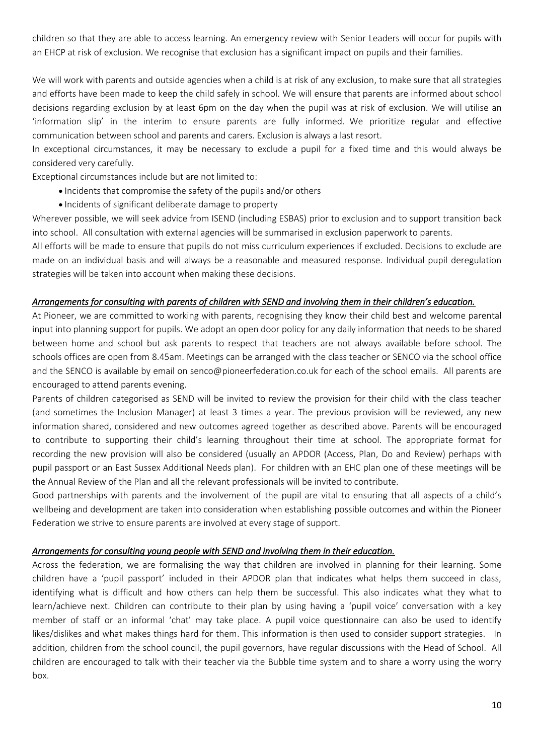children so that they are able to access learning. An emergency review with Senior Leaders will occur for pupils with an EHCP at risk of exclusion. We recognise that exclusion has a significant impact on pupils and their families.

We will work with parents and outside agencies when a child is at risk of any exclusion, to make sure that all strategies and efforts have been made to keep the child safely in school. We will ensure that parents are informed about school decisions regarding exclusion by at least 6pm on the day when the pupil was at risk of exclusion. We will utilise an 'information slip' in the interim to ensure parents are fully informed. We prioritize regular and effective communication between school and parents and carers. Exclusion is always a last resort.

In exceptional circumstances, it may be necessary to exclude a pupil for a fixed time and this would always be considered very carefully.

Exceptional circumstances include but are not limited to:

- Incidents that compromise the safety of the pupils and/or others
- Incidents of significant deliberate damage to property

Wherever possible, we will seek advice from ISEND (including ESBAS) prior to exclusion and to support transition back into school. All consultation with external agencies will be summarised in exclusion paperwork to parents.

All efforts will be made to ensure that pupils do not miss curriculum experiences if excluded. Decisions to exclude are made on an individual basis and will always be a reasonable and measured response. Individual pupil deregulation strategies will be taken into account when making these decisions.

### *Arrangements for consulting with parents of children with SEND and involving them in their children's education.*

At Pioneer, we are committed to working with parents, recognising they know their child best and welcome parental input into planning support for pupils. We adopt an open door policy for any daily information that needs to be shared between home and school but ask parents to respect that teachers are not always available before school. The schools offices are open from 8.45am. Meetings can be arranged with the class teacher or SENCO via the school office and the SENCO is available by email on senco@pioneerfederation.co.uk for each of the school emails. All parents are encouraged to attend parents evening.

Parents of children categorised as SEND will be invited to review the provision for their child with the class teacher (and sometimes the Inclusion Manager) at least 3 times a year. The previous provision will be reviewed, any new information shared, considered and new outcomes agreed together as described above. Parents will be encouraged to contribute to supporting their child's learning throughout their time at school. The appropriate format for recording the new provision will also be considered (usually an APDOR (Access, Plan, Do and Review) perhaps with pupil passport or an East Sussex Additional Needs plan). For children with an EHC plan one of these meetings will be the Annual Review of the Plan and all the relevant professionals will be invited to contribute.

Good partnerships with parents and the involvement of the pupil are vital to ensuring that all aspects of a child's wellbeing and development are taken into consideration when establishing possible outcomes and within the Pioneer Federation we strive to ensure parents are involved at every stage of support.

#### *Arrangements for consulting young people with SEND and involving them in their education.*

Across the federation, we are formalising the way that children are involved in planning for their learning. Some children have a 'pupil passport' included in their APDOR plan that indicates what helps them succeed in class, identifying what is difficult and how others can help them be successful. This also indicates what they what to learn/achieve next. Children can contribute to their plan by using having a 'pupil voice' conversation with a key member of staff or an informal 'chat' may take place. A pupil voice questionnaire can also be used to identify likes/dislikes and what makes things hard for them. This information is then used to consider support strategies. In addition, children from the school council, the pupil governors, have regular discussions with the Head of School. All children are encouraged to talk with their teacher via the Bubble time system and to share a worry using the worry box.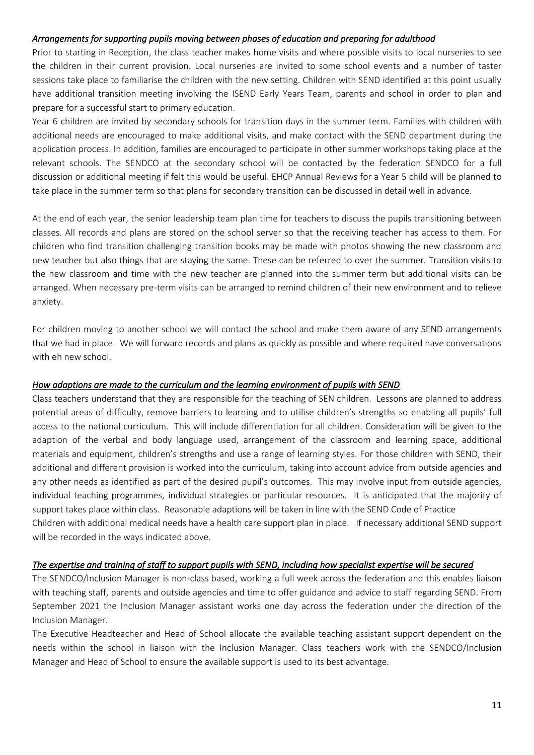### *Arrangements for supporting pupils moving between phases of education and preparing for adulthood*

Prior to starting in Reception, the class teacher makes home visits and where possible visits to local nurseries to see the children in their current provision. Local nurseries are invited to some school events and a number of taster sessions take place to familiarise the children with the new setting. Children with SEND identified at this point usually have additional transition meeting involving the ISEND Early Years Team, parents and school in order to plan and prepare for a successful start to primary education.

Year 6 children are invited by secondary schools for transition days in the summer term. Families with children with additional needs are encouraged to make additional visits, and make contact with the SEND department during the application process. In addition, families are encouraged to participate in other summer workshops taking place at the relevant schools. The SENDCO at the secondary school will be contacted by the federation SENDCO for a full discussion or additional meeting if felt this would be useful. EHCP Annual Reviews for a Year 5 child will be planned to take place in the summer term so that plans for secondary transition can be discussed in detail well in advance.

At the end of each year, the senior leadership team plan time for teachers to discuss the pupils transitioning between classes. All records and plans are stored on the school server so that the receiving teacher has access to them. For children who find transition challenging transition books may be made with photos showing the new classroom and new teacher but also things that are staying the same. These can be referred to over the summer. Transition visits to the new classroom and time with the new teacher are planned into the summer term but additional visits can be arranged. When necessary pre-term visits can be arranged to remind children of their new environment and to relieve anxiety.

For children moving to another school we will contact the school and make them aware of any SEND arrangements that we had in place. We will forward records and plans as quickly as possible and where required have conversations with eh new school.

## *How adaptions are made to the curriculum and the learning environment of pupils with SEND*

Class teachers understand that they are responsible for the teaching of SEN children. Lessons are planned to address potential areas of difficulty, remove barriers to learning and to utilise children's strengths so enabling all pupils' full access to the national curriculum. This will include differentiation for all children. Consideration will be given to the adaption of the verbal and body language used, arrangement of the classroom and learning space, additional materials and equipment, children's strengths and use a range of learning styles. For those children with SEND, their additional and different provision is worked into the curriculum, taking into account advice from outside agencies and any other needs as identified as part of the desired pupil's outcomes. This may involve input from outside agencies, individual teaching programmes, individual strategies or particular resources. It is anticipated that the majority of support takes place within class. Reasonable adaptions will be taken in line with the SEND Code of Practice Children with additional medical needs have a health care support plan in place. If necessary additional SEND support will be recorded in the ways indicated above.

## *The expertise and training of staff to support pupils with SEND, including how specialist expertise will be secured*

The SENDCO/Inclusion Manager is non-class based, working a full week across the federation and this enables liaison with teaching staff, parents and outside agencies and time to offer guidance and advice to staff regarding SEND. From September 2021 the Inclusion Manager assistant works one day across the federation under the direction of the Inclusion Manager.

The Executive Headteacher and Head of School allocate the available teaching assistant support dependent on the needs within the school in liaison with the Inclusion Manager. Class teachers work with the SENDCO/Inclusion Manager and Head of School to ensure the available support is used to its best advantage.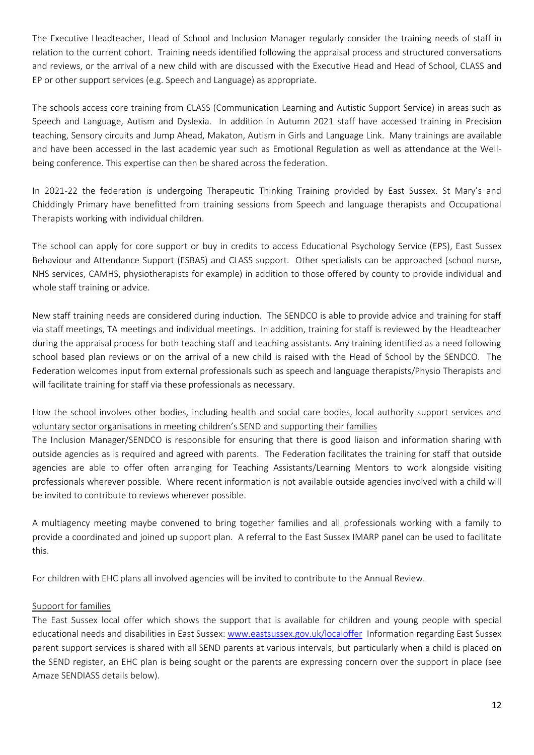The Executive Headteacher, Head of School and Inclusion Manager regularly consider the training needs of staff in relation to the current cohort. Training needs identified following the appraisal process and structured conversations and reviews, or the arrival of a new child with are discussed with the Executive Head and Head of School, CLASS and EP or other support services (e.g. Speech and Language) as appropriate.

The schools access core training from CLASS (Communication Learning and Autistic Support Service) in areas such as Speech and Language, Autism and Dyslexia. In addition in Autumn 2021 staff have accessed training in Precision teaching, Sensory circuits and Jump Ahead, Makaton, Autism in Girls and Language Link. Many trainings are available and have been accessed in the last academic year such as Emotional Regulation as well as attendance at the Wellbeing conference. This expertise can then be shared across the federation.

In 2021-22 the federation is undergoing Therapeutic Thinking Training provided by East Sussex. St Mary's and Chiddingly Primary have benefitted from training sessions from Speech and language therapists and Occupational Therapists working with individual children.

The school can apply for core support or buy in credits to access Educational Psychology Service (EPS), East Sussex Behaviour and Attendance Support (ESBAS) and CLASS support. Other specialists can be approached (school nurse, NHS services, CAMHS, physiotherapists for example) in addition to those offered by county to provide individual and whole staff training or advice.

New staff training needs are considered during induction. The SENDCO is able to provide advice and training for staff via staff meetings, TA meetings and individual meetings. In addition, training for staff is reviewed by the Headteacher during the appraisal process for both teaching staff and teaching assistants. Any training identified as a need following school based plan reviews or on the arrival of a new child is raised with the Head of School by the SENDCO. The Federation welcomes input from external professionals such as speech and language therapists/Physio Therapists and will facilitate training for staff via these professionals as necessary.

# How the school involves other bodies, including health and social care bodies, local authority support services and voluntary sector organisations in meeting children's SEND and supporting their families

The Inclusion Manager/SENDCO is responsible for ensuring that there is good liaison and information sharing with outside agencies as is required and agreed with parents. The Federation facilitates the training for staff that outside agencies are able to offer often arranging for Teaching Assistants/Learning Mentors to work alongside visiting professionals wherever possible. Where recent information is not available outside agencies involved with a child will be invited to contribute to reviews wherever possible.

A multiagency meeting maybe convened to bring together families and all professionals working with a family to provide a coordinated and joined up support plan. A referral to the East Sussex IMARP panel can be used to facilitate this.

For children with EHC plans all involved agencies will be invited to contribute to the Annual Review.

## Support for families

The East Sussex local offer which shows the support that is available for children and young people with special educational needs and disabilities in East Sussex[: www.eastsussex.gov.uk/localoffer](http://www.eastsussex.gov.uk/localoffer) Information regarding East Sussex parent support services is shared with all SEND parents at various intervals, but particularly when a child is placed on the SEND register, an EHC plan is being sought or the parents are expressing concern over the support in place (see Amaze SENDIASS details below).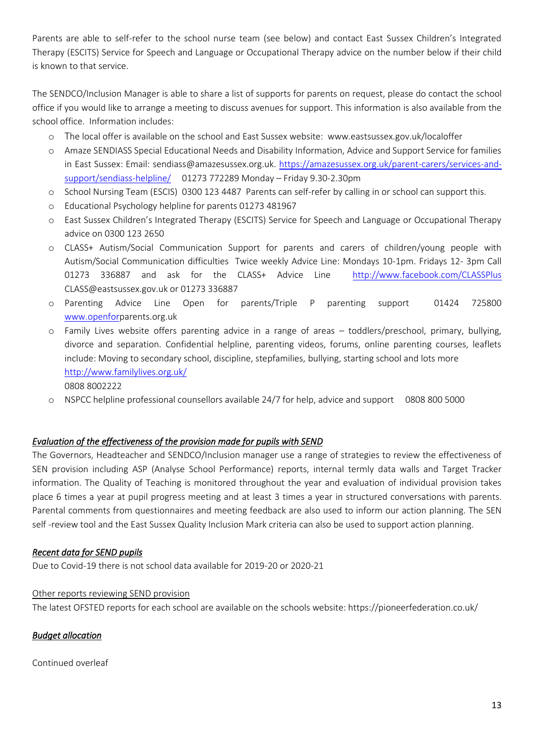Parents are able to self-refer to the school nurse team (see below) and contact East Sussex Children's Integrated Therapy (ESCITS) Service for Speech and Language or Occupational Therapy advice on the number below if their child is known to that service.

The SENDCO/Inclusion Manager is able to share a list of supports for parents on request, please do contact the school office if you would like to arrange a meeting to discuss avenues for support. This information is also available from the school office. Information includes:

- o The local offer is available on the school and East Sussex website: www.eastsussex.gov.uk/localoffer
- o Amaze SENDIASS Special Educational Needs and Disability Information, Advice and Support Service for families in East Sussex: Email: [sendiass@amazesussex.org.uk.](mailto:sendiass@amazesussex.org.uk) [https://amazesussex.org.uk/parent-carers/services-and](https://amazesussex.org.uk/parent-carers/services-and-support/sendiass-helpline/)[support/sendiass-helpline/](https://amazesussex.org.uk/parent-carers/services-and-support/sendiass-helpline/) 01273 772289 Monday – Friday 9.30-2.30pm
- o School Nursing Team (ESCIS) 0300 123 4487 Parents can self-refer by calling in or school can support this.
- o Educational Psychology helpline for parents 01273 481967
- o East Sussex Children's Integrated Therapy (ESCITS) Service for Speech and Language or Occupational Therapy advice on 0300 123 2650
- o CLASS+ Autism/Social Communication Support for parents and carers of children/young people with Autism/Social Communication difficulties Twice weekly Advice Line: Mondays 10-1pm. Fridays 12- 3pm Call 01273 336887 and ask for the CLASS+ Advice Line <http://www.facebook.com/CLASSPlus> CLASS@eastsussex.gov.uk or 01273 336887
- o Parenting Advice Line Open for parents/Triple P parenting support 01424 725800 [www.openforp](http://www.openfor/)arents.org.uk
- o Family Lives website offers parenting advice in a range of areas toddlers/preschool, primary, bullying, divorce and separation. Confidential helpline, parenting videos, forums, online parenting courses, leaflets include: Moving to secondary school, discipline, stepfamilies, bullying, starting school and lots more <http://www.familylives.org.uk/> 0808 8002222
- o NSPCC helpline professional counsellors available 24/7 for help, advice and support 0808 800 5000

## *Evaluation of the effectiveness of the provision made for pupils with SEND*

The Governors, Headteacher and SENDCO/Inclusion manager use a range of strategies to review the effectiveness of SEN provision including ASP (Analyse School Performance) reports, internal termly data walls and Target Tracker information. The Quality of Teaching is monitored throughout the year and evaluation of individual provision takes place 6 times a year at pupil progress meeting and at least 3 times a year in structured conversations with parents. Parental comments from questionnaires and meeting feedback are also used to inform our action planning. The SEN self -review tool and the East Sussex Quality Inclusion Mark criteria can also be used to support action planning.

## *Recent data for SEND pupils*

Due to Covid-19 there is not school data available for 2019-20 or 2020-21

## Other reports reviewing SEND provision

The latest OFSTED reports for each school are available on the schools website: https://pioneerfederation.co.uk/

## *Budget allocation*

Continued overleaf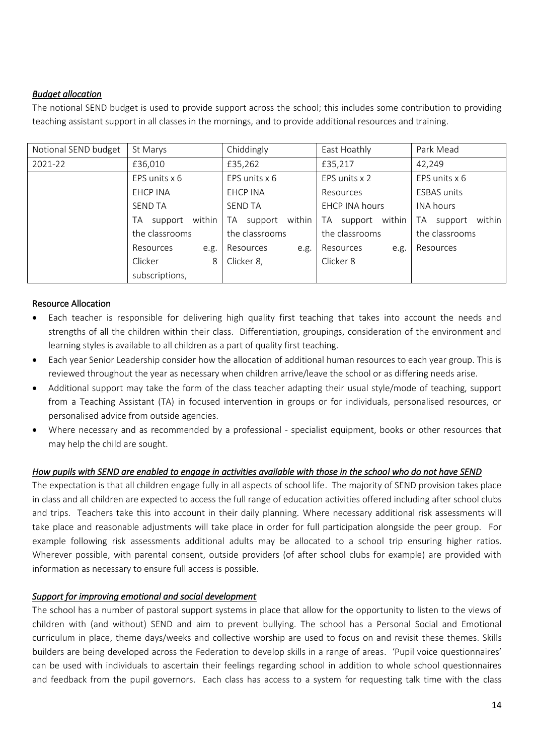## *Budget allocation*

The notional SEND budget is used to provide support across the school; this includes some contribution to providing teaching assistant support in all classes in the mornings, and to provide additional resources and training.

| Notional SEND budget | St Marys                | Chiddingly              | East Hoathly             | Park Mead               |
|----------------------|-------------------------|-------------------------|--------------------------|-------------------------|
| 2021-22              | £36,010                 | £35,262                 | £35,217                  | 42,249                  |
|                      | EPS units x 6           | EPS units x 6           | EPS units x 2            | EPS units x 6           |
|                      | EHCP INA                | EHCP INA                | Resources                | <b>ESBAS</b> units      |
|                      | <b>SEND TA</b>          | <b>SEND TA</b>          | <b>EHCP INA hours</b>    | <b>INA hours</b>        |
|                      | within<br>TA<br>support | within<br>TA<br>support | within<br>support<br>TA. | within<br>TA<br>support |
|                      | the classrooms          | the classrooms          | the classrooms           | the classrooms          |
|                      | Resources<br>e.g.       | Resources<br>e.g.       | Resources<br>e.g.        | Resources               |
|                      | Clicker<br>8            | Clicker 8,              | Clicker 8                |                         |
|                      | subscriptions,          |                         |                          |                         |

## Resource Allocation

- Each teacher is responsible for delivering high quality first teaching that takes into account the needs and strengths of all the children within their class. Differentiation, groupings, consideration of the environment and learning styles is available to all children as a part of quality first teaching.
- Each year Senior Leadership consider how the allocation of additional human resources to each year group. This is reviewed throughout the year as necessary when children arrive/leave the school or as differing needs arise.
- Additional support may take the form of the class teacher adapting their usual style/mode of teaching, support from a Teaching Assistant (TA) in focused intervention in groups or for individuals, personalised resources, or personalised advice from outside agencies.
- Where necessary and as recommended by a professional specialist equipment, books or other resources that may help the child are sought.

## *How pupils with SEND are enabled to engage in activities available with those in the school who do not have SEND*

The expectation is that all children engage fully in all aspects of school life. The majority of SEND provision takes place in class and all children are expected to access the full range of education activities offered including after school clubs and trips. Teachers take this into account in their daily planning. Where necessary additional risk assessments will take place and reasonable adjustments will take place in order for full participation alongside the peer group. For example following risk assessments additional adults may be allocated to a school trip ensuring higher ratios. Wherever possible, with parental consent, outside providers (of after school clubs for example) are provided with information as necessary to ensure full access is possible.

## *Support for improving emotional and social development*

The school has a number of pastoral support systems in place that allow for the opportunity to listen to the views of children with (and without) SEND and aim to prevent bullying. The school has a Personal Social and Emotional curriculum in place, theme days/weeks and collective worship are used to focus on and revisit these themes. Skills builders are being developed across the Federation to develop skills in a range of areas. 'Pupil voice questionnaires' can be used with individuals to ascertain their feelings regarding school in addition to whole school questionnaires and feedback from the pupil governors. Each class has access to a system for requesting talk time with the class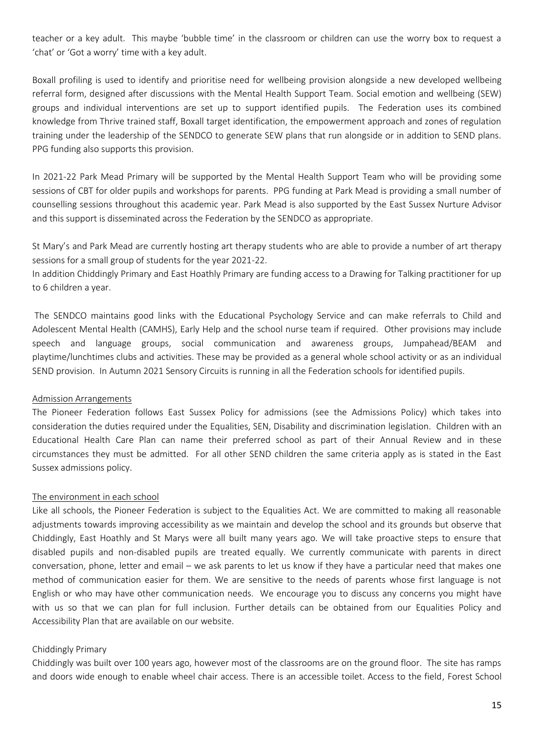teacher or a key adult. This maybe 'bubble time' in the classroom or children can use the worry box to request a 'chat' or 'Got a worry' time with a key adult.

Boxall profiling is used to identify and prioritise need for wellbeing provision alongside a new developed wellbeing referral form, designed after discussions with the Mental Health Support Team. Social emotion and wellbeing (SEW) groups and individual interventions are set up to support identified pupils. The Federation uses its combined knowledge from Thrive trained staff, Boxall target identification, the empowerment approach and zones of regulation training under the leadership of the SENDCO to generate SEW plans that run alongside or in addition to SEND plans. PPG funding also supports this provision.

In 2021-22 Park Mead Primary will be supported by the Mental Health Support Team who will be providing some sessions of CBT for older pupils and workshops for parents. PPG funding at Park Mead is providing a small number of counselling sessions throughout this academic year. Park Mead is also supported by the East Sussex Nurture Advisor and this support is disseminated across the Federation by the SENDCO as appropriate.

St Mary's and Park Mead are currently hosting art therapy students who are able to provide a number of art therapy sessions for a small group of students for the year 2021-22.

In addition Chiddingly Primary and East Hoathly Primary are funding access to a Drawing for Talking practitioner for up to 6 children a year.

The SENDCO maintains good links with the Educational Psychology Service and can make referrals to Child and Adolescent Mental Health (CAMHS), Early Help and the school nurse team if required. Other provisions may include speech and language groups, social communication and awareness groups, Jumpahead/BEAM and playtime/lunchtimes clubs and activities. These may be provided as a general whole school activity or as an individual SEND provision. In Autumn 2021 Sensory Circuits is running in all the Federation schools for identified pupils.

## Admission Arrangements

The Pioneer Federation follows East Sussex Policy for admissions (see the Admissions Policy) which takes into consideration the duties required under the Equalities, SEN, Disability and discrimination legislation. Children with an Educational Health Care Plan can name their preferred school as part of their Annual Review and in these circumstances they must be admitted. For all other SEND children the same criteria apply as is stated in the East Sussex admissions policy.

#### The environment in each school

Like all schools, the Pioneer Federation is subject to the Equalities Act. We are committed to making all reasonable adjustments towards improving accessibility as we maintain and develop the school and its grounds but observe that Chiddingly, East Hoathly and St Marys were all built many years ago. We will take proactive steps to ensure that disabled pupils and non-disabled pupils are treated equally. We currently communicate with parents in direct conversation, phone, letter and email – we ask parents to let us know if they have a particular need that makes one method of communication easier for them. We are sensitive to the needs of parents whose first language is not English or who may have other communication needs. We encourage you to discuss any concerns you might have with us so that we can plan for full inclusion. Further details can be obtained from our Equalities Policy and Accessibility Plan that are available on our website.

#### Chiddingly Primary

Chiddingly was built over 100 years ago, however most of the classrooms are on the ground floor. The site has ramps and doors wide enough to enable wheel chair access. There is an accessible toilet. Access to the field, Forest School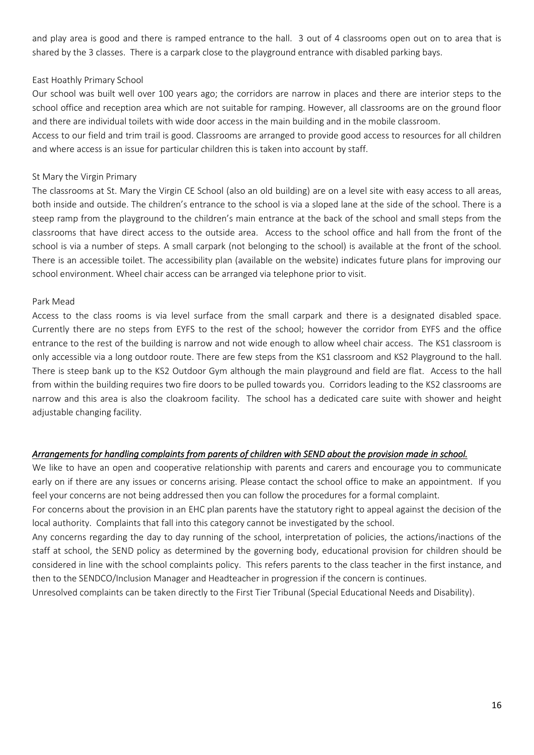and play area is good and there is ramped entrance to the hall. 3 out of 4 classrooms open out on to area that is shared by the 3 classes. There is a carpark close to the playground entrance with disabled parking bays.

## East Hoathly Primary School

Our school was built well over 100 years ago; the corridors are narrow in places and there are interior steps to the school office and reception area which are not suitable for ramping. However, all classrooms are on the ground floor and there are individual toilets with wide door access in the main building and in the mobile classroom.

Access to our field and trim trail is good. Classrooms are arranged to provide good access to resources for all children and where access is an issue for particular children this is taken into account by staff.

## St Mary the Virgin Primary

The classrooms at St. Mary the Virgin CE School (also an old building) are on a level site with easy access to all areas, both inside and outside. The children's entrance to the school is via a sloped lane at the side of the school. There is a steep ramp from the playground to the children's main entrance at the back of the school and small steps from the classrooms that have direct access to the outside area. Access to the school office and hall from the front of the school is via a number of steps. A small carpark (not belonging to the school) is available at the front of the school. There is an accessible toilet. The accessibility plan (available on the website) indicates future plans for improving our school environment. Wheel chair access can be arranged via telephone prior to visit.

### Park Mead

Access to the class rooms is via level surface from the small carpark and there is a designated disabled space. Currently there are no steps from EYFS to the rest of the school; however the corridor from EYFS and the office entrance to the rest of the building is narrow and not wide enough to allow wheel chair access. The KS1 classroom is only accessible via a long outdoor route. There are few steps from the KS1 classroom and KS2 Playground to the hall. There is steep bank up to the KS2 Outdoor Gym although the main playground and field are flat. Access to the hall from within the building requires two fire doors to be pulled towards you. Corridors leading to the KS2 classrooms are narrow and this area is also the cloakroom facility. The school has a dedicated care suite with shower and height adjustable changing facility.

## *Arrangements for handling complaints from parents of children with SEND about the provision made in school.*

We like to have an open and cooperative relationship with parents and carers and encourage you to communicate early on if there are any issues or concerns arising. Please contact the school office to make an appointment. If you feel your concerns are not being addressed then you can follow the procedures for a formal complaint.

For concerns about the provision in an EHC plan parents have the statutory right to appeal against the decision of the local authority. Complaints that fall into this category cannot be investigated by the school.

Any concerns regarding the day to day running of the school, interpretation of policies, the actions/inactions of the staff at school, the SEND policy as determined by the governing body, educational provision for children should be considered in line with the school complaints policy. This refers parents to the class teacher in the first instance, and then to the SENDCO/Inclusion Manager and Headteacher in progression if the concern is continues.

Unresolved complaints can be taken directly to the First Tier Tribunal (Special Educational Needs and Disability).